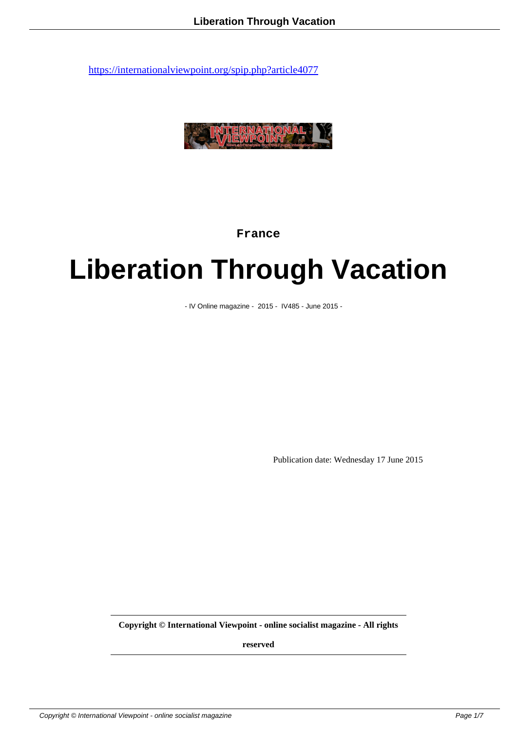

**France**

## **Liberation Through Vacation**

- IV Online magazine - 2015 - IV485 - June 2015 -

Publication date: Wednesday 17 June 2015

**Copyright © International Viewpoint - online socialist magazine - All rights**

**reserved**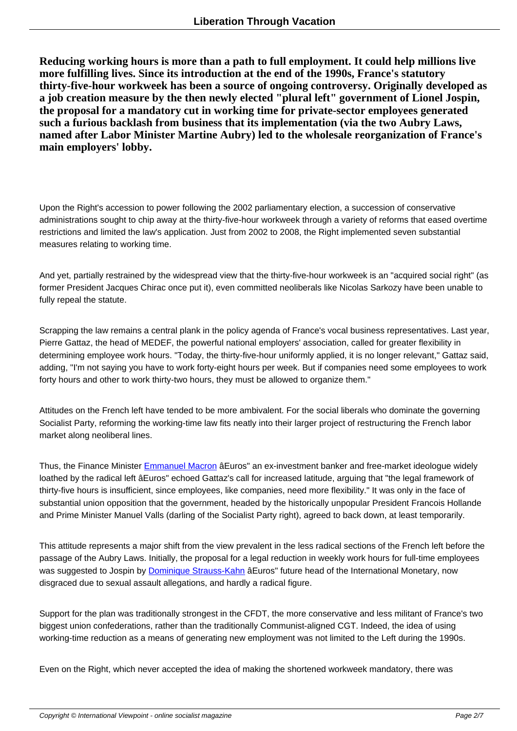**Reducing working hours is more than a path to full employment. It could help millions live more fulfilling lives. Since its introduction at the end of the 1990s, France's statutory thirty-five-hour workweek has been a source of ongoing controversy. Originally developed as a job creation measure by the then newly elected "plural left" government of Lionel Jospin, the proposal for a mandatory cut in working time for private-sector employees generated such a furious backlash from business that its implementation (via the two Aubry Laws, named after Labor Minister Martine Aubry) led to the wholesale reorganization of France's main employers' lobby.**

Upon the Right's accession to power following the 2002 parliamentary election, a succession of conservative administrations sought to chip away at the thirty-five-hour workweek through a variety of reforms that eased overtime restrictions and limited the law's application. Just from 2002 to 2008, the Right implemented seven substantial measures relating to working time.

And yet, partially restrained by the widespread view that the thirty-five-hour workweek is an "acquired social right" (as former President Jacques Chirac once put it), even committed neoliberals like Nicolas Sarkozy have been unable to fully repeal the statute.

Scrapping the law remains a central plank in the policy agenda of France's vocal business representatives. Last year, Pierre Gattaz, the head of MEDEF, the powerful national employers' association, called for greater flexibility in determining employee work hours. "Today, the thirty-five-hour uniformly applied, it is no longer relevant," Gattaz said, adding, "I'm not saying you have to work forty-eight hours per week. But if companies need some employees to work forty hours and other to work thirty-two hours, they must be allowed to organize them."

Attitudes on the French left have tended to be more ambivalent. For the social liberals who dominate the governing Socialist Party, reforming the working-time law fits neatly into their larger project of restructuring the French labor market along neoliberal lines.

Thus, the Finance Minister Emmanuel Macron âEuros" an ex-investment banker and free-market ideologue widely loathed by the radical left âEuros" echoed Gattaz's call for increased latitude, arguing that "the legal framework of thirty-five hours is insufficient, since employees, like companies, need more flexibility." It was only in the face of substantial union opposition that the government, headed by the historically unpopular President Francois Hollande and Prime Minister Manuel [Valls \(darling of the](http://www.nytimes.com/2014/10/07/business/international/emmanuel-macron-of-france-is-the-face-of-the-new-socialism.html?_r=0) Socialist Party right), agreed to back down, at least temporarily.

This attitude represents a major shift from the view prevalent in the less radical sections of the French left before the passage of the Aubry Laws. Initially, the proposal for a legal reduction in weekly work hours for full-time employees was suggested to Jospin by Dominique Strauss-Kahn âEuros" future head of the International Monetary, now disgraced due to sexual assault allegations, and hardly a radical figure.

Support for the plan was tra[ditionally strongest in the C](http://www.theguardian.com/world/dominique-strauss-kahn)FDT, the more conservative and less militant of France's two biggest union confederations, rather than the traditionally Communist-aligned CGT. Indeed, the idea of using working-time reduction as a means of generating new employment was not limited to the Left during the 1990s.

Even on the Right, which never accepted the idea of making the shortened workweek mandatory, there was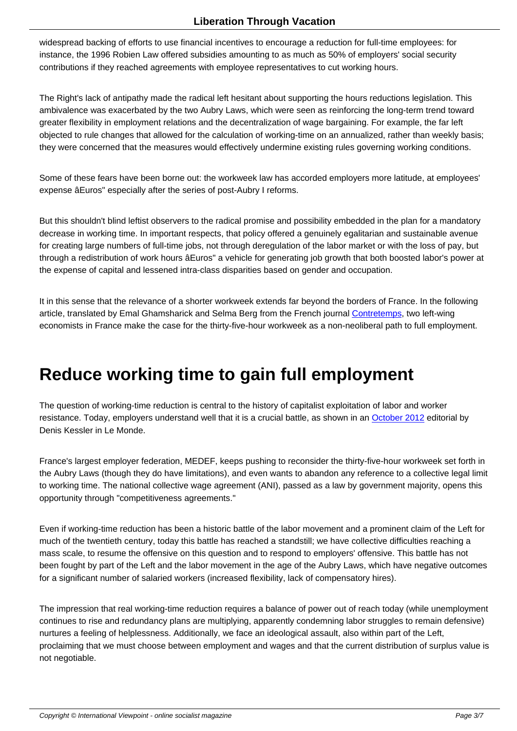widespread backing of efforts to use financial incentives to encourage a reduction for full-time employees: for instance, the 1996 Robien Law offered subsidies amounting to as much as 50% of employers' social security contributions if they reached agreements with employee representatives to cut working hours.

The Right's lack of antipathy made the radical left hesitant about supporting the hours reductions legislation. This ambivalence was exacerbated by the two Aubry Laws, which were seen as reinforcing the long-term trend toward greater flexibility in employment relations and the decentralization of wage bargaining. For example, the far left objected to rule changes that allowed for the calculation of working-time on an annualized, rather than weekly basis; they were concerned that the measures would effectively undermine existing rules governing working conditions.

Some of these fears have been borne out: the workweek law has accorded employers more latitude, at employees' expense âEuros" especially after the series of post-Aubry I reforms.

But this shouldn't blind leftist observers to the radical promise and possibility embedded in the plan for a mandatory decrease in working time. In important respects, that policy offered a genuinely egalitarian and sustainable avenue for creating large numbers of full-time jobs, not through deregulation of the labor market or with the loss of pay, but through a redistribution of work hours âEuros" a vehicle for generating job growth that both boosted labor's power at the expense of capital and lessened intra-class disparities based on gender and occupation.

It in this sense that the relevance of a shorter workweek extends far beyond the borders of France. In the following article, translated by Emal Ghamsharick and Selma Berg from the French journal Contretemps, two left-wing economists in France make the case for the thirty-five-hour workweek as a non-neoliberal path to full employment.

## **Reduce working time to gain full employment**

The question of working-time reduction is central to the history of capitalist exploitation of labor and worker resistance. Today, employers understand well that it is a crucial battle, as shown in an October 2012 editorial by Denis Kessler in Le Monde.

France's largest employer federation, MEDEF, keeps pushing to reconsider the thirty-fi[ve-hour workw](http://mobile.lemonde.fr/idees/article/2012/10/31/apres-15-annees-d-esperances-decues-il-est-temps-d-abolir-les-35-heures_1783706_3232.html)eek set forth in the Aubry Laws (though they do have limitations), and even wants to abandon any reference to a collective legal limit to working time. The national collective wage agreement (ANI), passed as a law by government majority, opens this opportunity through "competitiveness agreements."

Even if working-time reduction has been a historic battle of the labor movement and a prominent claim of the Left for much of the twentieth century, today this battle has reached a standstill; we have collective difficulties reaching a mass scale, to resume the offensive on this question and to respond to employers' offensive. This battle has not been fought by part of the Left and the labor movement in the age of the Aubry Laws, which have negative outcomes for a significant number of salaried workers (increased flexibility, lack of compensatory hires).

The impression that real working-time reduction requires a balance of power out of reach today (while unemployment continues to rise and redundancy plans are multiplying, apparently condemning labor struggles to remain defensive) nurtures a feeling of helplessness. Additionally, we face an ideological assault, also within part of the Left, proclaiming that we must choose between employment and wages and that the current distribution of surplus value is not negotiable.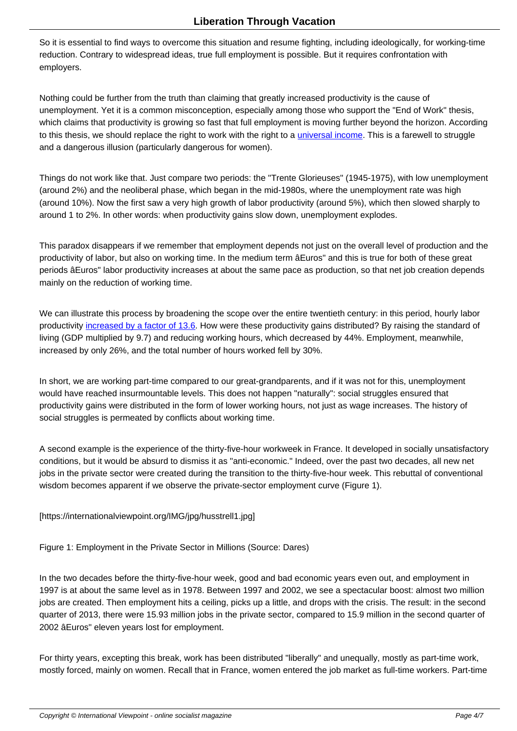So it is essential to find ways to overcome this situation and resume fighting, including ideologically, for working-time reduction. Contrary to widespread ideas, true full employment is possible. But it requires confrontation with employers.

Nothing could be further from the truth than claiming that greatly increased productivity is the cause of unemployment. Yet it is a common misconception, especially among those who support the "End of Work" thesis, which claims that productivity is growing so fast that full employment is moving further beyond the horizon. According to this thesis, we should replace the right to work with the right to a universal income. This is a farewell to struggle and a dangerous illusion (particularly dangerous for women).

Things do not work like that. Just compare two periods: the "Trente [Glorieuses" \(194](https://www.jacobinmag.com/2012/04/the-politics-of-getting-a-life/)5-1975), with low unemployment (around 2%) and the neoliberal phase, which began in the mid-1980s, where the unemployment rate was high (around 10%). Now the first saw a very high growth of labor productivity (around 5%), which then slowed sharply to around 1 to 2%. In other words: when productivity gains slow down, unemployment explodes.

This paradox disappears if we remember that employment depends not just on the overall level of production and the productivity of labor, but also on working time. In the medium term âEuros" and this is true for both of these great periods âEuros" labor productivity increases at about the same pace as production, so that net job creation depends mainly on the reduction of working time.

We can illustrate this process by broadening the scope over the entire twentieth century: in this period, hourly labor productivity increased by a factor of 13.6. How were these productivity gains distributed? By raising the standard of living (GDP multiplied by 9.7) and reducing working hours, which decreased by 44%. Employment, meanwhile, increased by only 26%, and the total number of hours worked fell by 30%.

In short, we are working part-time compared to our great-grandparents, and if it was not for this, unemployment would have reached insurmountable levels. This does not happen "naturally": social struggles ensured that productivity gains were distributed in the form of lower working hours, not just as wage increases. The history of social struggles is permeated by conflicts about working time.

A second example is the experience of the thirty-five-hour workweek in France. It developed in socially unsatisfactory conditions, but it would be absurd to dismiss it as "anti-economic." Indeed, over the past two decades, all new net jobs in the private sector were created during the transition to the thirty-five-hour week. This rebuttal of conventional wisdom becomes apparent if we observe the private-sector employment curve (Figure 1).

[https://internationalviewpoint.org/IMG/jpg/husstrell1.jpg]

Figure 1: Employment in the Private Sector in Millions (Source: Dares)

In the two decades before the thirty-five-hour week, good and bad economic years even out, and employment in 1997 is at about the same level as in 1978. Between 1997 and 2002, we see a spectacular boost: almost two million jobs are created. Then employment hits a ceiling, picks up a little, and drops with the crisis. The result: in the second quarter of 2013, there were 15.93 million jobs in the private sector, compared to 15.9 million in the second quarter of 2002 âEuros" eleven years lost for employment.

For thirty years, excepting this break, work has been distributed "liberally" and unequally, mostly as part-time work, mostly forced, mainly on women. Recall that in France, women entered the job market as full-time workers. Part-time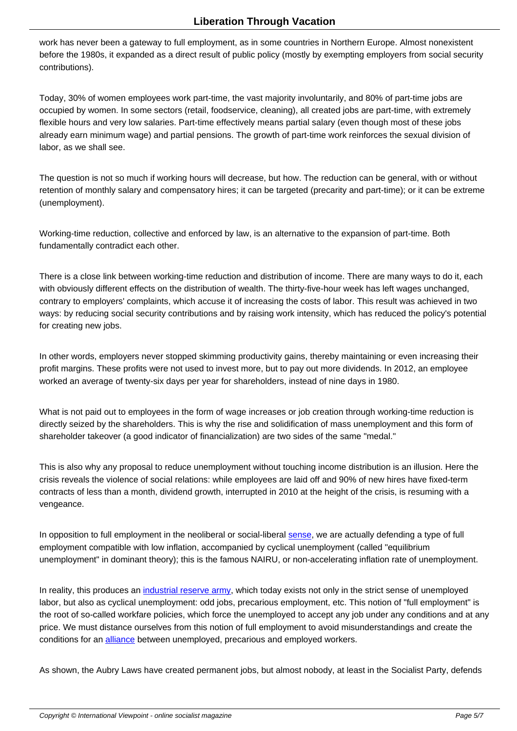work has never been a gateway to full employment, as in some countries in Northern Europe. Almost nonexistent before the 1980s, it expanded as a direct result of public policy (mostly by exempting employers from social security contributions).

Today, 30% of women employees work part-time, the vast majority involuntarily, and 80% of part-time jobs are occupied by women. In some sectors (retail, foodservice, cleaning), all created jobs are part-time, with extremely flexible hours and very low salaries. Part-time effectively means partial salary (even though most of these jobs already earn minimum wage) and partial pensions. The growth of part-time work reinforces the sexual division of labor, as we shall see.

The question is not so much if working hours will decrease, but how. The reduction can be general, with or without retention of monthly salary and compensatory hires; it can be targeted (precarity and part-time); or it can be extreme (unemployment).

Working-time reduction, collective and enforced by law, is an alternative to the expansion of part-time. Both fundamentally contradict each other.

There is a close link between working-time reduction and distribution of income. There are many ways to do it, each with obviously different effects on the distribution of wealth. The thirty-five-hour week has left wages unchanged, contrary to employers' complaints, which accuse it of increasing the costs of labor. This result was achieved in two ways: by reducing social security contributions and by raising work intensity, which has reduced the policy's potential for creating new jobs.

In other words, employers never stopped skimming productivity gains, thereby maintaining or even increasing their profit margins. These profits were not used to invest more, but to pay out more dividends. In 2012, an employee worked an average of twenty-six days per year for shareholders, instead of nine days in 1980.

What is not paid out to employees in the form of wage increases or job creation through working-time reduction is directly seized by the shareholders. This is why the rise and solidification of mass unemployment and this form of shareholder takeover (a good indicator of financialization) are two sides of the same "medal."

This is also why any proposal to reduce unemployment without touching income distribution is an illusion. Here the crisis reveals the violence of social relations: while employees are laid off and 90% of new hires have fixed-term contracts of less than a month, dividend growth, interrupted in 2010 at the height of the crisis, is resuming with a vengeance.

In opposition to full employment in the neoliberal or social-liberal sense, we are actually defending a type of full employment compatible with low inflation, accompanied by cyclical unemployment (called "equilibrium unemployment" in dominant theory); this is the famous NAIRU, or non-accelerating inflation rate of unemployment.

In reality, this produces an *industrial reserve army*, which today exists not only in the strict sense of unemployed labor, but also as cyclical unemployment: odd jobs, precarious employment, etc. This notion of "full employment" is the root of so-called workfare policies, which force the unemployed to accept any job under any conditions and at any price. We must distance ourselves from this notion of full employment to avoid misunderstandings and create the conditions for an **alliance** b[etween unemployed, pr](http://www.encyclopedia.com/doc/1O88-industrialreservearmy.html)ecarious and employed workers.

As shown, the Aubry Laws have created permanent jobs, but almost nobody, at least in the Socialist Party, defends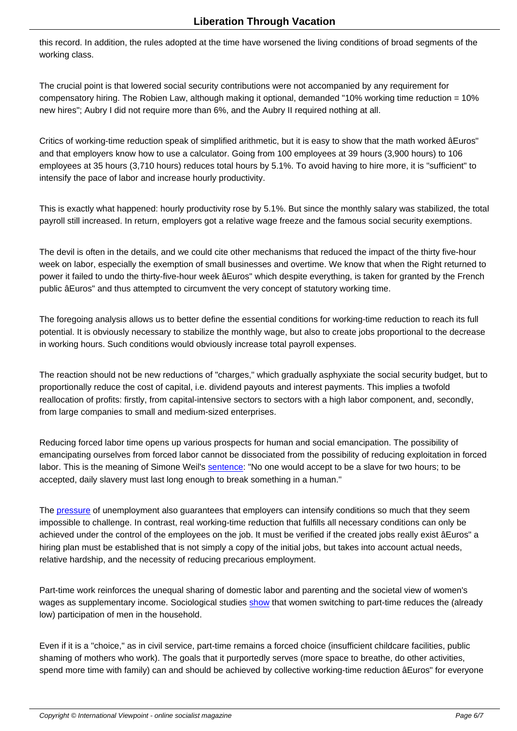this record. In addition, the rules adopted at the time have worsened the living conditions of broad segments of the working class.

The crucial point is that lowered social security contributions were not accompanied by any requirement for compensatory hiring. The Robien Law, although making it optional, demanded "10% working time reduction = 10% new hires"; Aubry I did not require more than 6%, and the Aubry II required nothing at all.

Critics of working-time reduction speak of simplified arithmetic, but it is easy to show that the math worked âEuros" and that employers know how to use a calculator. Going from 100 employees at 39 hours (3,900 hours) to 106 employees at 35 hours (3,710 hours) reduces total hours by 5.1%. To avoid having to hire more, it is "sufficient" to intensify the pace of labor and increase hourly productivity.

This is exactly what happened: hourly productivity rose by 5.1%. But since the monthly salary was stabilized, the total payroll still increased. In return, employers got a relative wage freeze and the famous social security exemptions.

The devil is often in the details, and we could cite other mechanisms that reduced the impact of the thirty five-hour week on labor, especially the exemption of small businesses and overtime. We know that when the Right returned to power it failed to undo the thirty-five-hour week âEuros" which despite everything, is taken for granted by the French public âEuros" and thus attempted to circumvent the very concept of statutory working time.

The foregoing analysis allows us to better define the essential conditions for working-time reduction to reach its full potential. It is obviously necessary to stabilize the monthly wage, but also to create jobs proportional to the decrease in working hours. Such conditions would obviously increase total payroll expenses.

The reaction should not be new reductions of "charges," which gradually asphyxiate the social security budget, but to proportionally reduce the cost of capital, i.e. dividend payouts and interest payments. This implies a twofold reallocation of profits: firstly, from capital-intensive sectors to sectors with a high labor component, and, secondly, from large companies to small and medium-sized enterprises.

Reducing forced labor time opens up various prospects for human and social emancipation. The possibility of emancipating ourselves from forced labor cannot be dissociated from the possibility of reducing exploitation in forced labor. This is the meaning of Simone Weil's sentence: "No one would accept to be a slave for two hours; to be accepted, daily slavery must last long enough to break something in a human."

The pressure of unemployment also guaran[tees that e](http://gesd.free.fr/weil37.pdf)mployers can intensify conditions so much that they seem impossible to challenge. In contrast, real working-time reduction that fulfills all necessary conditions can only be achieved under the control of the employees on the job. It must be verified if the created jobs really exist âEuros" a hiring plan must be established that is not simply a copy of the initial jobs, but takes into account actual needs, relat[ive hards](http://mrzine.monthlyreview.org/2010/kalecki220510.html)hip, and the necessity of reducing precarious employment.

Part-time work reinforces the unequal sharing of domestic labor and parenting and the societal view of women's wages as supplementary income. Sociological studies show that women switching to part-time reduces the (already low) participation of men in the household.

Even if it is a "choice," as in civil service, part-time rem[ains a](https://books.google.co.uk/books/about/Les_femmes_et_le_travail_%C3%A0_temps_partie.html?id=ySNiAAAACAAJ&hl=en&redir_esc=y) forced choice (insufficient childcare facilities, public shaming of mothers who work). The goals that it purportedly serves (more space to breathe, do other activities, spend more time with family) can and should be achieved by collective working-time reduction âEuros" for everyone